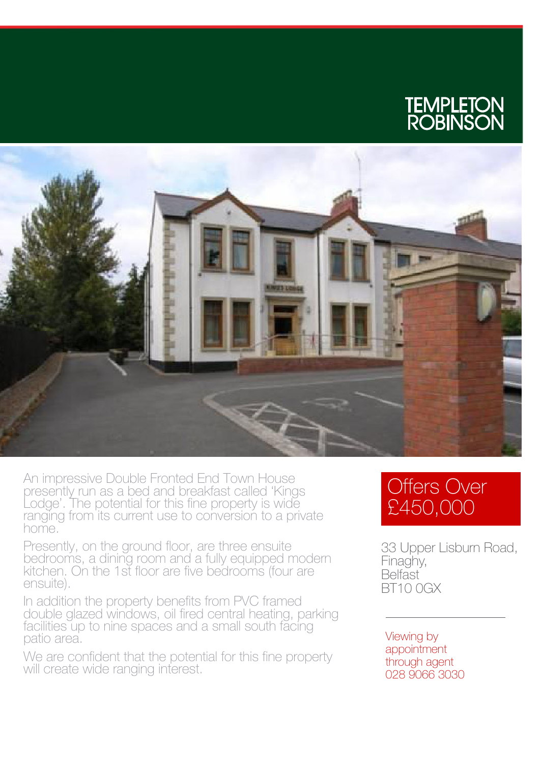



An impressive Double Fronted End Town House presently run as a bed and breakfast called 'Kings Lodge'. The potential for this fine property is wide ranging from its current use to conversion to a private home.

Presently, on the ground floor, are three ensuite bedrooms, a dining room and a fully equipped modern kitchen. On the 1st floor are five bedrooms (four are ensuite).

In addition the property benefits from PVC framed double glazed windows, oil fired central heating, parking facilities up to nine spaces and a small south facing patio area.

We are confident that the potential for this fine property will create wide ranging interest.

## Offers Over £450,000

33 Upper Lisburn Road, Finaghy, **Belfast** BT10 0GX

Viewing by appointment through agent 028 9066 3030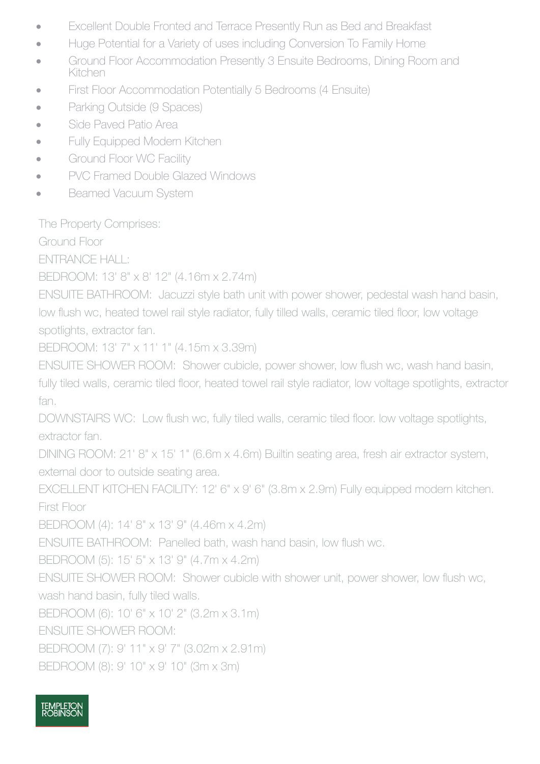- · Excellent Double Fronted and Terrace Presently Run as Bed and Breakfast
- · Huge Potential for a Variety of uses including Conversion To Family Home
- Ground Floor Accommodation Presently 3 Ensuite Bedrooms, Dining Room and Kitchen
- First Floor Accommodation Potentially 5 Bedrooms (4 Ensuite)
- Parking Outside (9 Spaces)
- Side Paved Patio Area
- Fully Equipped Modern Kitchen
- Ground Floor WC Facility
- PVC Framed Double Glazed Windows
- Beamed Vacuum System

The Property Comprises:

Ground Floor

ENTRANCE HALL:

BEDROOM: 13' 8" x 8' 12" (4.16m x 2.74m)

ENSUITE BATHROOM: Jacuzzi style bath unit with power shower, pedestal wash hand basin, low flush wc, heated towel rail style radiator, fully tilled walls, ceramic tiled floor, low voltage spotlights, extractor fan.

BEDROOM: 13' 7" x 11' 1" (4.15m x 3.39m)

ENSUITE SHOWER ROOM: Shower cubicle, power shower, low flush wc, wash hand basin, fully tiled walls, ceramic tiled floor, heated towel rail style radiator, low voltage spotlights, extractor fan.

DOWNSTAIRS WC: Low flush wc, fully tiled walls, ceramic tiled floor. low voltage spotlights, extractor fan.

DINING ROOM: 21' 8" x 15' 1" (6.6m x 4.6m) Builtin seating area, fresh air extractor system, external door to outside seating area.

EXCELLENT KITCHEN FACILITY: 12' 6" x 9' 6" (3.8m x 2.9m) Fully equipped modern kitchen. First Floor

BEDROOM (4): 14' 8" x 13' 9" (4.46m x 4.2m)

ENSUITE BATHROOM: Panelled bath, wash hand basin, low flush wc.

BEDROOM (5): 15' 5" x 13' 9" (4.7m x 4.2m)

ENSUITE SHOWER ROOM: Shower cubicle with shower unit, power shower, low flush wc, wash hand basin, fully tiled walls.

BEDROOM (6): 10' 6" x 10' 2" (3.2m x 3.1m)

ENSUITE SHOWER ROOM:

BEDROOM (7): 9' 11" x 9' 7" (3.02m x 2.91m)

BEDROOM (8): 9' 10" x 9' 10" (3m x 3m)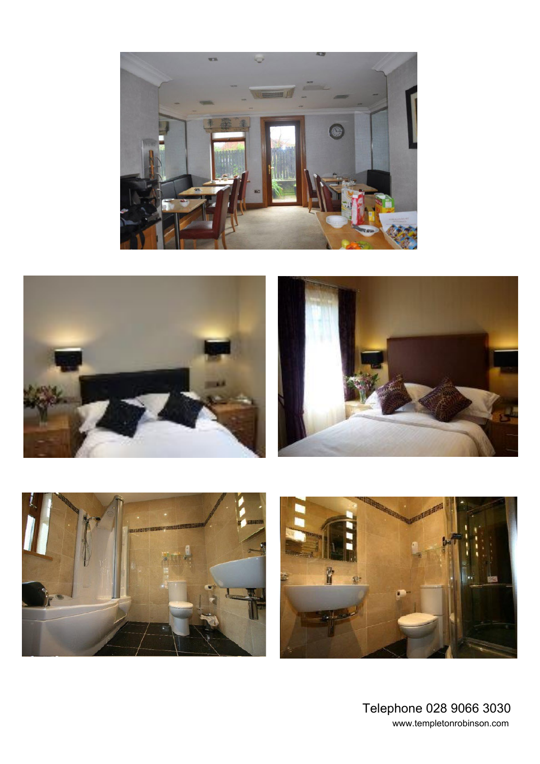







Telephone 028 9066 3030 www.templetonrobinson.com